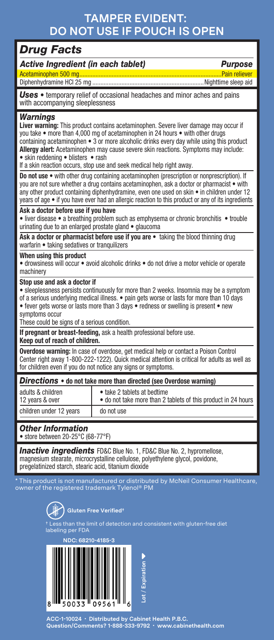## **TAMPER EVIDENT: DO NOT USE IF POUCH IS OPEN**

## *Drug Facts*

*Active Ingredient (in each tablet) Purpose*

Acetaminophen 500 mg........................................................................................Pain reliever Diphenhydramine HCl 25 mg .....................................................................Nighttime sleep aid

*Uses* • temporary relief of occasional headaches and minor aches and pains with accompanying sleeplessness

#### *Warnings*

**Liver warning:** This product contains acetaminophen. Severe liver damage may occur if you take • more than 4,000 mg of acetaminophen in 24 hours • with other drugs containing acetaminophen • 3 or more alcoholic drinks every day while using this product **Allergy alert:** Acetaminophen may cause severe skin reactions. Symptoms may include: • skin reddening • blisters • rash

If a skin reaction occurs, stop use and seek medical help right away.

**Do not use** • with other drug containing acetaminophen (prescription or nonprescription). If you are not sure whether a drug contains acetaminophen, ask a doctor or pharmacist • with any other product containing diphenhydramine, even one used on skin • in children under 12 years of age • if you have ever had an allergic reaction to this product or any of its ingredients

#### **Ask a doctor before use if you have**

• liver disease • a breathing problem such as emphysema or chronic bronchitis • trouble urinating due to an enlarged prostate gland • glaucoma

Ask a doctor or pharmacist before use if you are • taking the blood thinning drug warfarin • taking sedatives or tranquilizers

#### **When using this product**

• drowsiness will occur • avoid alcoholic drinks • do not drive a motor vehicle or operate machinery

#### **Stop use and ask a doctor if**

• sleeplessness persists continuously for more than 2 weeks. Insomnia may be a symptom of a serious underlying medical illness. • pain gets worse or lasts for more than 10 days • fever gets worse or lasts more than 3 days • redness or swelling is present • new

symptoms occur

These could be signs of a serious condition.

**If pregnant or breast-feeding,** ask a health professional before use.

#### **Keep out of reach of children.**

**Overdose warning:** In case of overdose, get medical help or contact a Poison Control Center right away 1-800-222-1222). Quick medical attention is critical for adults as well as for children even if you do not notice any signs or symptoms.

| <b>Directions</b> • do not take more than directed (see Overdose warning) |                                                                                              |
|---------------------------------------------------------------------------|----------------------------------------------------------------------------------------------|
| adults & children<br>12 years & over                                      | • take 2 tablets at bedtime<br>• do not take more than 2 tablets of this product in 24 hours |
| children under 12 years                                                   | do not use                                                                                   |

#### *Other Information*

• store between 20-25°C (68-77°F)

**Inactive ingredients** FD&C Blue No. 1, FD&C Blue No. 2, hypromellose, magnesium stearate, microcrystalline cellulose, polyethylene glycol, povidone, pregelatinized starch, stearic acid, titanium dioxide

This product is not manufactured or distributed by McNeil Consul her of the registered trademark Tylenol® PM



he limit of detection and consistent with gluten-free diet ing per FDA

**NDC: 68210-4185-3**